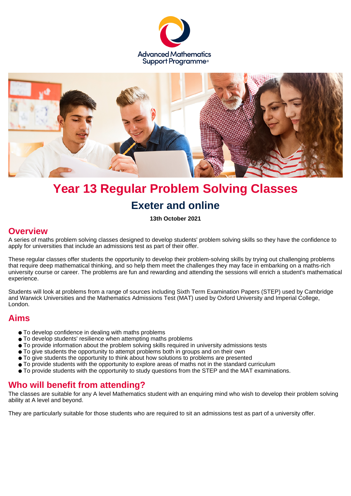



# **Year 13 Regular Problem Solving Classes Exeter and online**

**13th October 2021**

#### **Overview**

A series of maths problem solving classes designed to develop students' problem solving skills so they have the confidence to apply for universities that include an admissions test as part of their offer.

These regular classes offer students the opportunity to develop their problem-solving skills by trying out challenging problems that require deep mathematical thinking, and so help them meet the challenges they may face in embarking on a maths-rich university course or career. The problems are fun and rewarding and attending the sessions will enrich a student's mathematical experience.

Students will look at problems from a range of sources including Sixth Term Examination Papers (STEP) used by Cambridge and Warwick Universities and the Mathematics Admissions Test (MAT) used by Oxford University and Imperial College, London.

## **Aims**

- To develop confidence in dealing with maths problems
- To develop students' resilience when attempting maths problems
- To provide information about the problem solving skills required in university admissions tests
- To give students the opportunity to attempt problems both in groups and on their own
- To give students the opportunity to think about how solutions to problems are presented
- To provide students with the opportunity to explore areas of maths not in the standard curriculum
- To provide students with the opportunity to study questions from the STEP and the MAT examinations.

## **Who will benefit from attending?**

The classes are suitable for any A level Mathematics student with an enquiring mind who wish to develop their problem solving ability at A level and beyond.

They are particularly suitable for those students who are required to sit an admissions test as part of a university offer.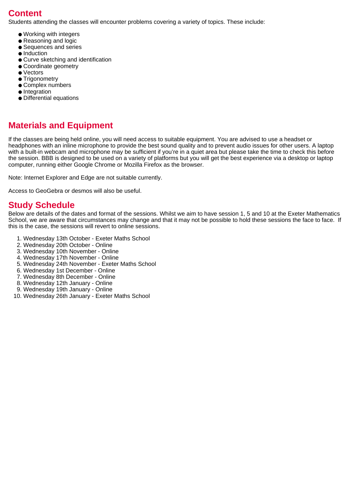## **Content**

Students attending the classes will encounter problems covering a variety of topics. These include:

- Working with integers
- Reasoning and logic
- Sequences and series
- Induction
- Curve sketching and identification
- Coordinate geometry
- Vectors
- Trigonometry
- Complex numbers
- Integration
- Differential equations

## **Materials and Equipment**

If the classes are being held online, you will need access to suitable equipment. You are advised to use a headset or headphones with an inline microphone to provide the best sound quality and to prevent audio issues for other users. A laptop with a built-in webcam and microphone may be sufficient if you're in a quiet area but please take the time to check this before the session. BBB is designed to be used on a variety of platforms but you will get the best experience via a desktop or laptop computer, running either Google Chrome or Mozilla Firefox as the browser.

Note: Internet Explorer and Edge are not suitable currently.

Access to GeoGebra or desmos will also be useful.

#### **Study Schedule**

Below are details of the dates and format of the sessions. Whilst we aim to have session 1, 5 and 10 at the Exeter Mathematics School, we are aware that circumstances may change and that it may not be possible to hold these sessions the face to face. If this is the case, the sessions will revert to online sessions.

- 1. Wednesday 13th October Exeter Maths School
- 2. Wednesday 20th October Online
- 3. Wednesday 10th November Online
- 4. Wednesday 17th November Online
- 5. Wednesday 24th November Exeter Maths School
- 6. Wednesday 1st December Online
- 7. Wednesday 8th December Online
- 8. Wednesday 12th January Online
- 9. Wednesday 19th January Online
- 10. Wednesday 26th January Exeter Maths School